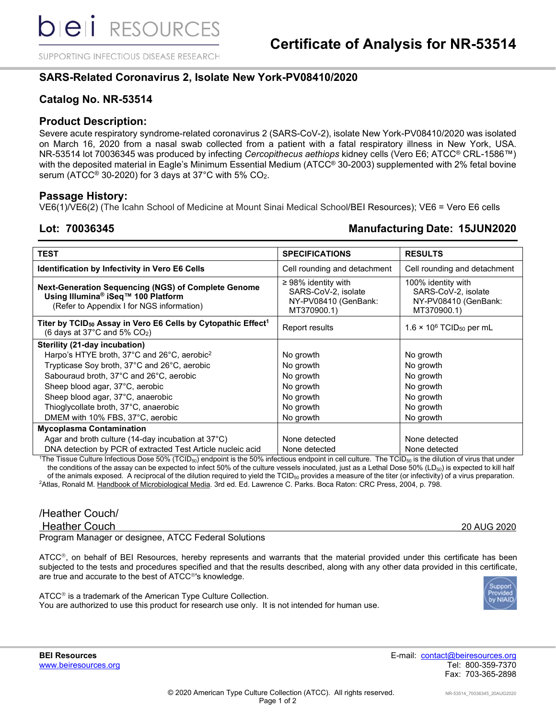SUPPORTING INFECTIOUS DISEASE RESEARCH

# **SARS-Related Coronavirus 2, Isolate New York-PV08410/2020**

### **Catalog No. NR-53514**

### **Product Description:**

Severe acute respiratory syndrome-related coronavirus 2 (SARS-CoV-2), isolate New York-PV08410/2020 was isolated on March 16, 2020 from a nasal swab collected from a patient with a fatal respiratory illness in New York, USA. NR-53514 lot 70036345 was produced by infecting *Cercopithecus aethiops* kidney cells (Vero E6; ATCC® CRL-1586™) with the deposited material in Eagle's Minimum Essential Medium (ATCC® 30-2003) supplemented with 2% fetal bovine serum (ATCC<sup>®</sup> 30-2020) for 3 days at 37°C with 5% CO<sub>2</sub>.

### **Passage History:**

VE6(1)/VE6(2) (The Icahn School of Medicine at Mount Sinai Medical School/BEI Resources); VE6 = Vero E6 cells

## **Lot: 70036345 Manufacturing Date: 15JUN2020**

| <b>TEST</b>                                                                                                                                               | <b>SPECIFICATIONS</b>                                                                  | <b>RESULTS</b>                                                                   |  |  |
|-----------------------------------------------------------------------------------------------------------------------------------------------------------|----------------------------------------------------------------------------------------|----------------------------------------------------------------------------------|--|--|
| <b>Identification by Infectivity in Vero E6 Cells</b>                                                                                                     | Cell rounding and detachment                                                           | Cell rounding and detachment                                                     |  |  |
| <b>Next-Generation Sequencing (NGS) of Complete Genome</b><br>Using Illumina <sup>®</sup> iSeq™ 100 Platform<br>(Refer to Appendix I for NGS information) | $\geq$ 98% identity with<br>SARS-CoV-2, isolate<br>NY-PV08410 (GenBank:<br>MT370900.1) | 100% identity with<br>SARS-CoV-2, isolate<br>NY-PV08410 (GenBank:<br>MT370900.1) |  |  |
| Titer by TCID <sub>50</sub> Assay in Vero E6 Cells by Cytopathic Effect <sup>1</sup><br>(6 days at 37 $\degree$ C and 5% CO <sub>2</sub> )                | <b>Report results</b>                                                                  | $1.6 \times 10^6$ TCID <sub>50</sub> per mL                                      |  |  |
| Sterility (21-day incubation)                                                                                                                             |                                                                                        |                                                                                  |  |  |
| Harpo's HTYE broth, 37°C and 26°C, aerobic <sup>2</sup>                                                                                                   | No growth                                                                              | No growth                                                                        |  |  |
| Trypticase Soy broth, 37°C and 26°C, aerobic                                                                                                              | No growth                                                                              | No growth                                                                        |  |  |
| Sabouraud broth, 37°C and 26°C, aerobic                                                                                                                   | No growth                                                                              | No growth                                                                        |  |  |
| Sheep blood agar, 37°C, aerobic                                                                                                                           | No growth                                                                              | No growth                                                                        |  |  |
| Sheep blood agar, 37°C, anaerobic                                                                                                                         | No growth                                                                              | No growth                                                                        |  |  |
| Thioglycollate broth, 37°C, anaerobic                                                                                                                     | No growth                                                                              | No growth                                                                        |  |  |
| DMEM with 10% FBS, 37°C, aerobic                                                                                                                          | No growth                                                                              | No growth                                                                        |  |  |
| <b>Mycoplasma Contamination</b>                                                                                                                           |                                                                                        |                                                                                  |  |  |
| Agar and broth culture (14-day incubation at $37^{\circ}$ C)                                                                                              | None detected                                                                          | None detected                                                                    |  |  |
| DNA detection by PCR of extracted Test Article nucleic acid                                                                                               | None detected                                                                          | None detected                                                                    |  |  |

 $^{\rm 1}$ The Tissue Culture Infectious Dose 50% (TCID $_{50}$ ) endpoint is the 50% infectious endpoint in cell culture. The TCID $_{50}$  is the dilution of virus that under the conditions of the assay can be expected to infect 50% of the culture vessels inoculated, just as a Lethal Dose 50% (LD<sub>50</sub>) is expected to kill half of the animals exposed. A reciprocal of the dilution required to yield the  $TCID<sub>50</sub>$  provides a measure of the titer (or infectivity) of a virus preparation. <sup>2</sup>Atlas, Ronald M. <u>Handbook of Microbiological Media</u>. 3rd ed. Ed. Lawrence C. Parks. Boca Raton: CRC Press, 2004, p. 798.

# /Heather Couch/

Heather Couch 20 AUG 2020

Program Manager or designee, ATCC Federal Solutions

 $\tt ATCC<sup>®</sup>$ , on behalf of BEI Resources, hereby represents and warrants that the material provided under this certificate has been subjected to the tests and procedures specified and that the results described, along with any other data provided in this certificate, are true and accurate to the best of ATCC<sup>®</sup>'s knowledge.



ATCC<sup>®</sup> is a trademark of the American Type Culture Collection. You are authorized to use this product for research use only. It is not intended for human use.